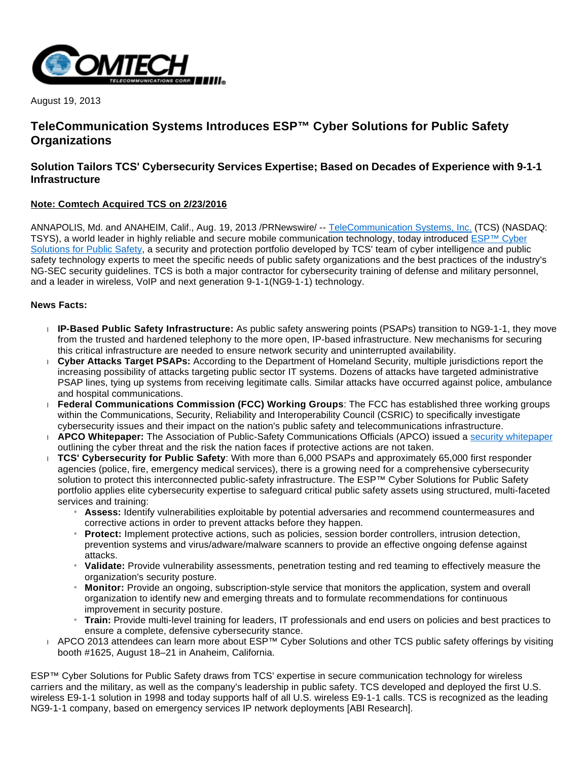

August 19, 2013

# **TeleCommunication Systems Introduces ESP™ Cyber Solutions for Public Safety Organizations**

# **Solution Tailors TCS' Cybersecurity Services Expertise; Based on Decades of Experience with 9-1-1 Infrastructure**

## **Note: Comtech Acquired TCS on 2/23/2016**

ANNAPOLIS, Md. and ANAHEIM, Calif., Aug. 19, 2013 /PRNewswire/ -- [TeleCommunication Systems, Inc.](http://www.telecomsys.com/) (TCS) (NASDAQ: TSYS), a world leader in highly reliable and secure mobile communication technology, today introduced [ESP™ Cyber](http://www.telecomsys.com/products/public-safety/cyber_solutions.aspx)  [Solutions for Public Safety,](http://www.telecomsys.com/products/public-safety/cyber_solutions.aspx) a security and protection portfolio developed by TCS' team of cyber intelligence and public safety technology experts to meet the specific needs of public safety organizations and the best practices of the industry's NG-SEC security guidelines. TCS is both a major contractor for cybersecurity training of defense and military personnel, and a leader in wireless, VoIP and next generation 9-1-1(NG9-1-1) technology.

#### **News Facts:**

- **IP-Based Public Safety Infrastructure:** As public safety answering points (PSAPs) transition to NG9-1-1, they move from the trusted and hardened telephony to the more open, IP-based infrastructure. New mechanisms for securing this critical infrastructure are needed to ensure network security and uninterrupted availability.
- **Cyber Attacks Target PSAPs:** According to the Department of Homeland Security, multiple jurisdictions report the increasing possibility of attacks targeting public sector IT systems. Dozens of attacks have targeted administrative PSAP lines, tying up systems from receiving legitimate calls. Similar attacks have occurred against police, ambulance and hospital communications.
- **Federal Communications Commission (FCC) Working Groups**: The FCC has established three working groups within the Communications, Security, Reliability and Interoperability Council (CSRIC) to specifically investigate cybersecurity issues and their impact on the nation's public safety and telecommunications infrastructure.
- **APCO Whitepaper:** The Association of Public-Safety Communications Officials (APCO) issued a [security whitepaper](http://www.apcoforum.com/the-cyber-security-challenge/) outlining the cyber threat and the risk the nation faces if protective actions are not taken.
- **TCS' Cybersecurity for Public Safety**: With more than 6,000 PSAPs and approximately 65,000 first responder agencies (police, fire, emergency medical services), there is a growing need for a comprehensive cybersecurity solution to protect this interconnected public-safety infrastructure. The ESP™ Cyber Solutions for Public Safety portfolio applies elite cybersecurity expertise to safeguard critical public safety assets using structured, multi-faceted services and training:
	- » **Assess:** Identify vulnerabilities exploitable by potential adversaries and recommend countermeasures and corrective actions in order to prevent attacks before they happen.
	- **Protect:** Implement protective actions, such as policies, session border controllers, intrusion detection, prevention systems and virus/adware/malware scanners to provide an effective ongoing defense against attacks.
	- » **Validate:** Provide vulnerability assessments, penetration testing and red teaming to effectively measure the organization's security posture.
	- » **Monitor:** Provide an ongoing, subscription-style service that monitors the application, system and overall organization to identify new and emerging threats and to formulate recommendations for continuous improvement in security posture.
	- » **Train:** Provide multi-level training for leaders, IT professionals and end users on policies and best practices to ensure a complete, defensive cybersecurity stance.
- APCO 2013 attendees can learn more about ESP™ Cyber Solutions and other TCS public safety offerings by visiting booth #1625, August 18–21 in Anaheim, California.

ESP™ Cyber Solutions for Public Safety draws from TCS' expertise in secure communication technology for wireless carriers and the military, as well as the company's leadership in public safety. TCS developed and deployed the first U.S. wireless E9-1-1 solution in 1998 and today supports half of all U.S. wireless E9-1-1 calls. TCS is recognized as the leading NG9-1-1 company, based on emergency services IP network deployments [ABI Research].